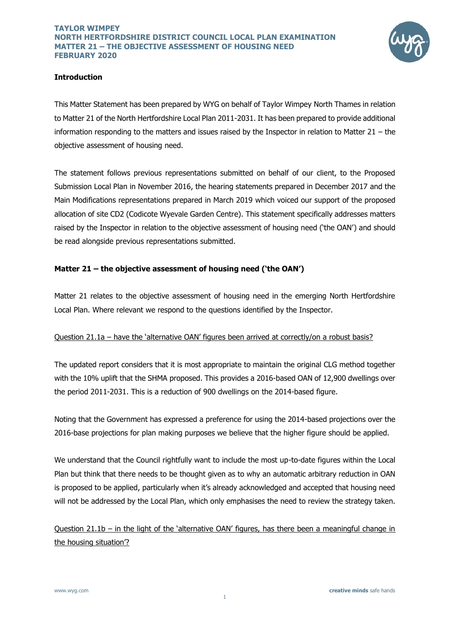

### **Introduction**

This Matter Statement has been prepared by WYG on behalf of Taylor Wimpey North Thames in relation to Matter 21 of the North Hertfordshire Local Plan 2011-2031. It has been prepared to provide additional information responding to the matters and issues raised by the Inspector in relation to Matter 21 – the objective assessment of housing need.

The statement follows previous representations submitted on behalf of our client, to the Proposed Submission Local Plan in November 2016, the hearing statements prepared in December 2017 and the Main Modifications representations prepared in March 2019 which voiced our support of the proposed allocation of site CD2 (Codicote Wyevale Garden Centre). This statement specifically addresses matters raised by the Inspector in relation to the objective assessment of housing need ('the OAN') and should be read alongside previous representations submitted.

## **Matter 21 – the objective assessment of housing need ('the OAN')**

Matter 21 relates to the objective assessment of housing need in the emerging North Hertfordshire Local Plan. Where relevant we respond to the questions identified by the Inspector.

#### Question 21.1a – have the 'alternative OAN' figures been arrived at correctly/on a robust basis?

The updated report considers that it is most appropriate to maintain the original CLG method together with the 10% uplift that the SHMA proposed. This provides a 2016-based OAN of 12,900 dwellings over the period 2011-2031. This is a reduction of 900 dwellings on the 2014-based figure.

Noting that the Government has expressed a preference for using the 2014-based projections over the 2016-base projections for plan making purposes we believe that the higher figure should be applied.

We understand that the Council rightfully want to include the most up-to-date figures within the Local Plan but think that there needs to be thought given as to why an automatic arbitrary reduction in OAN is proposed to be applied, particularly when it's already acknowledged and accepted that housing need will not be addressed by the Local Plan, which only emphasises the need to review the strategy taken.

Question 21.1b – in the light of the 'alternative OAN' figures, has there been a meaningful change in the housing situation'?